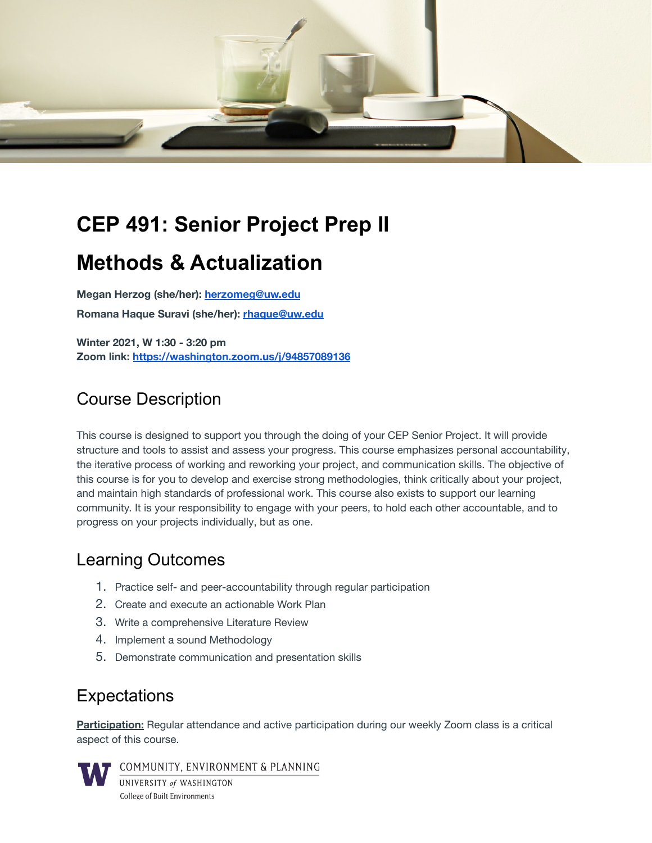

# **CEP 491: Senior Project Prep II**

# **Methods & Actualization**

**Megan Herzog (she/her): [herzomeg@uw.edu](mailto:herzomeg@uw.edu) Romana Haque Suravi (she/her): [rhaque@uw.edu](mailto:rhaque@uw.edu)**

**Winter 2021, W 1:30 - 3:20 pm Zoom link: <https://washington.zoom.us/j/94857089136>**

# Course Description

This course is designed to support you through the doing of your CEP Senior Project. It will provide structure and tools to assist and assess your progress. This course emphasizes personal accountability, the iterative process of working and reworking your project, and communication skills. The objective of this course is for you to develop and exercise strong methodologies, think critically about your project, and maintain high standards of professional work. This course also exists to support our learning community. It is your responsibility to engage with your peers, to hold each other accountable, and to progress on your projects individually, but as one.

## Learning Outcomes

- 1. Practice self- and peer-accountability through regular participation
- 2. Create and execute an actionable Work Plan
- 3. Write a comprehensive Literature Review
- 4. Implement a sound Methodology
- 5. Demonstrate communication and presentation skills

## **Expectations**

**Participation:** Regular attendance and active participation during our weekly Zoom class is a critical aspect of this course.



COMMUNITY, ENVIRONMENT & PLANNING UNIVERSITY of WASHINGTON

**College of Built Environments**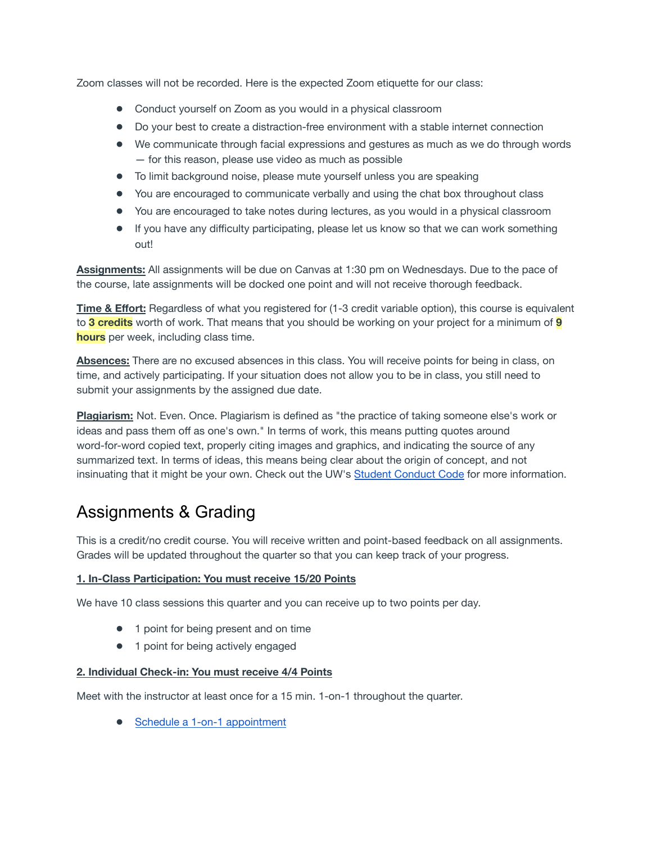Zoom classes will not be recorded. Here is the expected Zoom etiquette for our class:

- Conduct yourself on Zoom as you would in a physical classroom
- Do your best to create a distraction-free environment with a stable internet connection
- We communicate through facial expressions and gestures as much as we do through words — for this reason, please use video as much as possible
- To limit background noise, please mute yourself unless you are speaking
- You are encouraged to communicate verbally and using the chat box throughout class
- You are encouraged to take notes during lectures, as you would in a physical classroom
- If you have any difficulty participating, please let us know so that we can work something out!

**Assignments:** All assignments will be due on Canvas at 1:30 pm on Wednesdays. Due to the pace of the course, late assignments will be docked one point and will not receive thorough feedback.

**Time & Effort:** Regardless of what you registered for (1-3 credit variable option), this course is equivalent to **3 credits** worth of work. That means that you should be working on your project for a minimum of **9 hours** per week, including class time.

**Absences:** There are no excused absences in this class. You will receive points for being in class, on time, and actively participating. If your situation does not allow you to be in class, you still need to submit your assignments by the assigned due date.

**Plagiarism:** Not. Even. Once. Plagiarism is defined as "the practice of taking someone else's work or ideas and pass them off as one's own." In terms of work, this means putting quotes around word-for-word copied text, properly citing images and graphics, and indicating the source of any summarized text. In terms of ideas, this means being clear about the origin of concept, and not insinuating that it might be your own. Check out the UW's Student [Conduct](https://www.washington.edu/cssc/for-students/student-code-of-conduct/) Code for more information.

# Assignments & Grading

This is a credit/no credit course. You will receive written and point-based feedback on all assignments. Grades will be updated throughout the quarter so that you can keep track of your progress.

#### **1. In-Class Participation: You must receive 15/20 Points**

We have 10 class sessions this quarter and you can receive up to two points per day.

- 1 point for being present and on time
- 1 point for being actively engaged

#### **2. Individual Check-in: You must receive 4/4 Points**

Meet with the instructor at least once for a 15 min. 1-on-1 throughout the quarter.

● Schedule a 1-on-1 [appointment](https://calendar.google.com/calendar/u/0/selfsched?sstoken=UUFTamtmTVJRbHFvfGRlZmF1bHR8ZmYzODhlYmQxOGNlYjgzY2I5MjBhZmRiODJhZDg0MmQ)